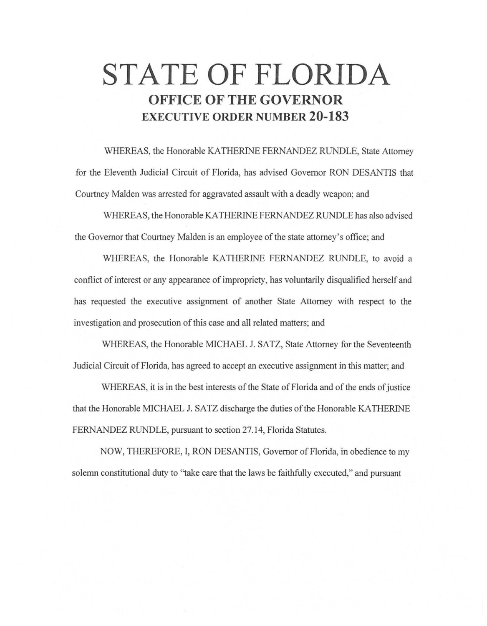# **STATE OF FLORIDA OFFICE OF THE GOVERNOR EXECUTIVE ORDER NUMBER 20-183**

WHEREAS, the Honorable KA THERINE FERNANDEZ RUNDLE, State Attorney for the Eleventh Judicial Circuit of Florida, has advised Governor RON DESANTIS that Courtney Malden was arrested for aggravated assault with a deadly weapon; and

WHEREAS, the Honorable KA THERINE FERNANDEZ RUNDLE has also advised the Governor that Courtney Malden is an employee of the state attorney's office; and

WHEREAS, the Honorable KATHERINE FERNANDEZ RUNDLE, to avoid a conflict of interest or any appearance of impropriety, has voluntarily disqualified herself and has requested the executive assignment of another State Attorney with respect to the investigation and prosecution of this case and all related matters; and

WHEREAS, the Honorable MICHAEL J. SATZ, State Attorney for the Seventeenth Judicial Circuit of Florida, has agreed to accept an executive assignment in this matter; and

WHEREAS, it is in the best interests of the State of Florida and of the ends of justice that the Honorable MICHAEL J. SATZ discharge the duties of the Honorable KATHERINE FERNANDEZ RUNDLE, pursuant to section 27.14, Florida Statutes.

NOW, THEREFORE, I, RON DESANTIS, Governor of Florida, in obedience to my solemn constitutional duty to "take care that the laws be faithfully executed," and pursuant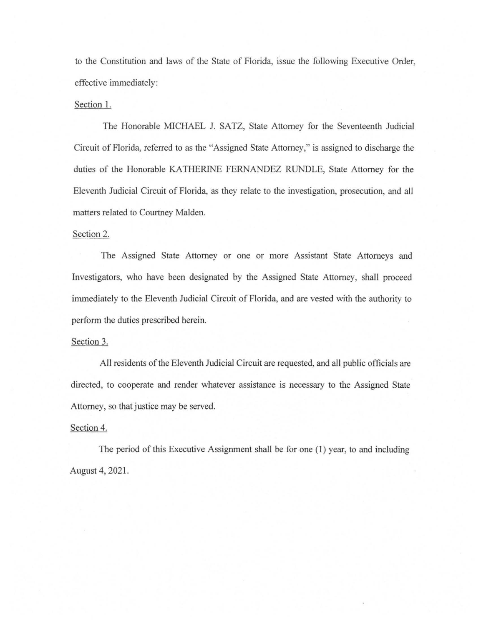to the Constitution and laws of the State of Florida, issue the following Executive Order, effective immediately:

## Section 1.

The Honorable MICHAEL J. SATZ, State Attorney for the Seventeenth Judicial Circuit of Florida, referred to as the "Assigned State Attorney," is assigned to discharge the duties of the Honorable KATHERINE FERNANDEZ RUNDLE, State Attorney for the Eleventh Judicial Circuit of Florida, as they relate to the investigation, prosecution, and all matters related to Courtney Malden.

#### Section 2.

The Assigned State Attorney or one or more Assistant State Attorneys and Investigators, who have been designated by the Assigned State Attorney, shall proceed immediately to the Eleventh Judicial Circuit of Florida, and are vested with the authority to perform the duties prescribed herein.

### Section 3.

All residents of the Eleventh Judicial Circuit are requested, and all public officials are directed, to cooperate and render whatever assistance is necessary to the Assigned State Attorney, so that justice may be served.

## Section 4.

The period of this Executive Assignment shall be for one (1) year, to and including August 4, 2021.